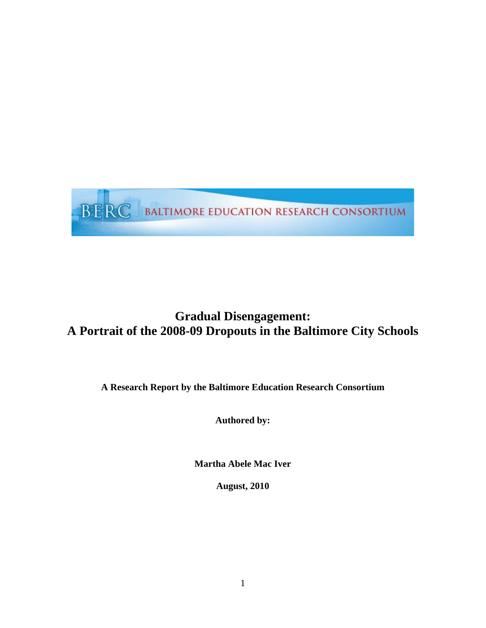

# **Gradual Disengagement: A Portrait of the 2008-09 Dropouts in the Baltimore City Schools**

**A Research Report by the Baltimore Education Research Consortium** 

**Authored by:** 

**Martha Abele Mac Iver** 

**August, 2010**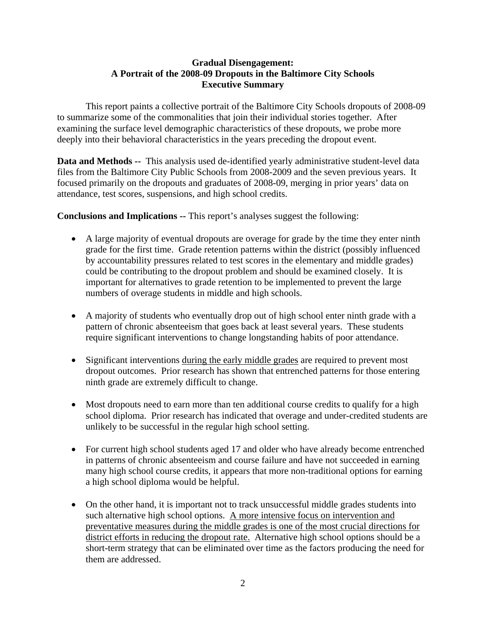# **Gradual Disengagement: A Portrait of the 2008-09 Dropouts in the Baltimore City Schools Executive Summary**

This report paints a collective portrait of the Baltimore City Schools dropouts of 2008-09 to summarize some of the commonalities that join their individual stories together. After examining the surface level demographic characteristics of these dropouts, we probe more deeply into their behavioral characteristics in the years preceding the dropout event.

**Data and Methods --** This analysis used de-identified yearly administrative student-level data files from the Baltimore City Public Schools from 2008-2009 and the seven previous years. It focused primarily on the dropouts and graduates of 2008-09, merging in prior years' data on attendance, test scores, suspensions, and high school credits.

**Conclusions and Implications --** This report's analyses suggest the following:

- A large majority of eventual dropouts are overage for grade by the time they enter ninth grade for the first time. Grade retention patterns within the district (possibly influenced by accountability pressures related to test scores in the elementary and middle grades) could be contributing to the dropout problem and should be examined closely. It is important for alternatives to grade retention to be implemented to prevent the large numbers of overage students in middle and high schools.
- A majority of students who eventually drop out of high school enter ninth grade with a pattern of chronic absenteeism that goes back at least several years. These students require significant interventions to change longstanding habits of poor attendance.
- Significant interventions during the early middle grades are required to prevent most dropout outcomes. Prior research has shown that entrenched patterns for those entering ninth grade are extremely difficult to change.
- Most dropouts need to earn more than ten additional course credits to qualify for a high school diploma. Prior research has indicated that overage and under-credited students are unlikely to be successful in the regular high school setting.
- For current high school students aged 17 and older who have already become entrenched in patterns of chronic absenteeism and course failure and have not succeeded in earning many high school course credits, it appears that more non-traditional options for earning a high school diploma would be helpful.
- On the other hand, it is important not to track unsuccessful middle grades students into such alternative high school options. A more intensive focus on intervention and preventative measures during the middle grades is one of the most crucial directions for district efforts in reducing the dropout rate. Alternative high school options should be a short-term strategy that can be eliminated over time as the factors producing the need for them are addressed.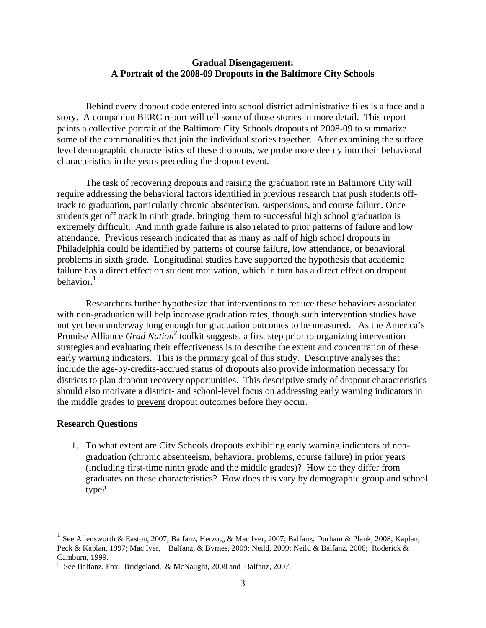#### **Gradual Disengagement: A Portrait of the 2008-09 Dropouts in the Baltimore City Schools**

Behind every dropout code entered into school district administrative files is a face and a story. A companion BERC report will tell some of those stories in more detail. This report paints a collective portrait of the Baltimore City Schools dropouts of 2008-09 to summarize some of the commonalities that join the individual stories together. After examining the surface level demographic characteristics of these dropouts, we probe more deeply into their behavioral characteristics in the years preceding the dropout event.

The task of recovering dropouts and raising the graduation rate in Baltimore City will require addressing the behavioral factors identified in previous research that push students offtrack to graduation, particularly chronic absenteeism, suspensions, and course failure. Once students get off track in ninth grade, bringing them to successful high school graduation is extremely difficult. And ninth grade failure is also related to prior patterns of failure and low attendance. Previous research indicated that as many as half of high school dropouts in Philadelphia could be identified by patterns of course failure, low attendance, or behavioral problems in sixth grade. Longitudinal studies have supported the hypothesis that academic failure has a direct effect on student motivation, which in turn has a direct effect on dropout behavior.<sup>1</sup>

Researchers further hypothesize that interventions to reduce these behaviors associated with non-graduation will help increase graduation rates, though such intervention studies have not yet been underway long enough for graduation outcomes to be measured. As the America's Promise Alliance *Grad Nation*<sup>2</sup> toolkit suggests, a first step prior to organizing intervention strategies and evaluating their effectiveness is to describe the extent and concentration of these early warning indicators. This is the primary goal of this study. Descriptive analyses that include the age-by-credits-accrued status of dropouts also provide information necessary for districts to plan dropout recovery opportunities. This descriptive study of dropout characteristics should also motivate a district- and school-level focus on addressing early warning indicators in the middle grades to prevent dropout outcomes before they occur.

#### **Research Questions**

 $\overline{a}$ 

1. To what extent are City Schools dropouts exhibiting early warning indicators of nongraduation (chronic absenteeism, behavioral problems, course failure) in prior years (including first-time ninth grade and the middle grades)? How do they differ from graduates on these characteristics? How does this vary by demographic group and school type?

<sup>&</sup>lt;sup>1</sup> See Allensworth & Easton, 2007; Balfanz, Herzog, & Mac Iver, 2007; Balfanz, Durham & Plank, 2008; Kaplan, Peck & Kaplan, 1997; Mac Iver, Balfanz, & Byrnes, 2009; Neild, 2009; Neild & Balfanz, 2006; Roderick & Camburn, 1999.

<sup>&</sup>lt;sup>2</sup> See Balfanz, Fox, Bridgeland, & McNaught, 2008 and Balfanz, 2007.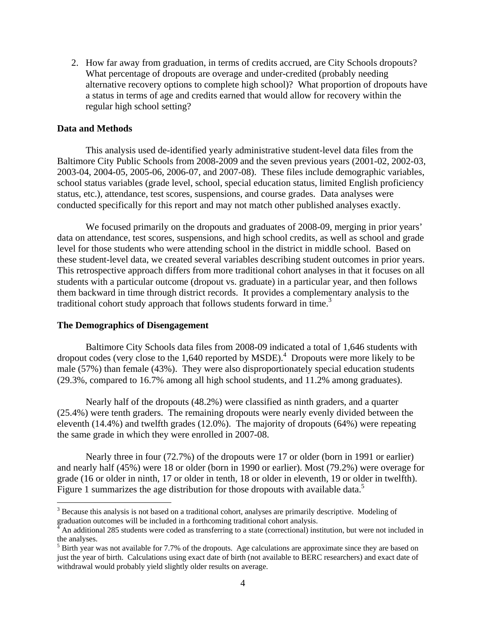2. How far away from graduation, in terms of credits accrued, are City Schools dropouts? What percentage of dropouts are overage and under-credited (probably needing alternative recovery options to complete high school)? What proportion of dropouts have a status in terms of age and credits earned that would allow for recovery within the regular high school setting?

#### **Data and Methods**

This analysis used de-identified yearly administrative student-level data files from the Baltimore City Public Schools from 2008-2009 and the seven previous years (2001-02, 2002-03, 2003-04, 2004-05, 2005-06, 2006-07, and 2007-08). These files include demographic variables, school status variables (grade level, school, special education status, limited English proficiency status, etc.), attendance, test scores, suspensions, and course grades. Data analyses were conducted specifically for this report and may not match other published analyses exactly.

We focused primarily on the dropouts and graduates of 2008-09, merging in prior years' data on attendance, test scores, suspensions, and high school credits, as well as school and grade level for those students who were attending school in the district in middle school. Based on these student-level data, we created several variables describing student outcomes in prior years. This retrospective approach differs from more traditional cohort analyses in that it focuses on all students with a particular outcome (dropout vs. graduate) in a particular year, and then follows them backward in time through district records. It provides a complementary analysis to the traditional cohort study approach that follows students forward in time.<sup>3</sup>

#### **The Demographics of Disengagement**

 $\overline{a}$ 

Baltimore City Schools data files from 2008-09 indicated a total of 1,646 students with dropout codes (very close to the  $1,640$  reported by MSDE).<sup>4</sup> Dropouts were more likely to be male (57%) than female (43%). They were also disproportionately special education students (29.3%, compared to 16.7% among all high school students, and 11.2% among graduates).

Nearly half of the dropouts (48.2%) were classified as ninth graders, and a quarter (25.4%) were tenth graders. The remaining dropouts were nearly evenly divided between the eleventh (14.4%) and twelfth grades (12.0%). The majority of dropouts (64%) were repeating the same grade in which they were enrolled in 2007-08.

Nearly three in four (72.7%) of the dropouts were 17 or older (born in 1991 or earlier) and nearly half (45%) were 18 or older (born in 1990 or earlier). Most (79.2%) were overage for grade (16 or older in ninth, 17 or older in tenth, 18 or older in eleventh, 19 or older in twelfth). Figure 1 summarizes the age distribution for those dropouts with available data.<sup>5</sup>

 $3$  Because this analysis is not based on a traditional cohort, analyses are primarily descriptive. Modeling of graduation outcomes will be included in a forthcoming traditional cohort analysis.

<sup>4</sup> An additional 285 students were coded as transferring to a state (correctional) institution, but were not included in the analyses.

 $<sup>5</sup>$  Birth year was not available for 7.7% of the dropouts. Age calculations are approximate since they are based on</sup> just the year of birth. Calculations using exact date of birth (not available to BERC researchers) and exact date of withdrawal would probably yield slightly older results on average.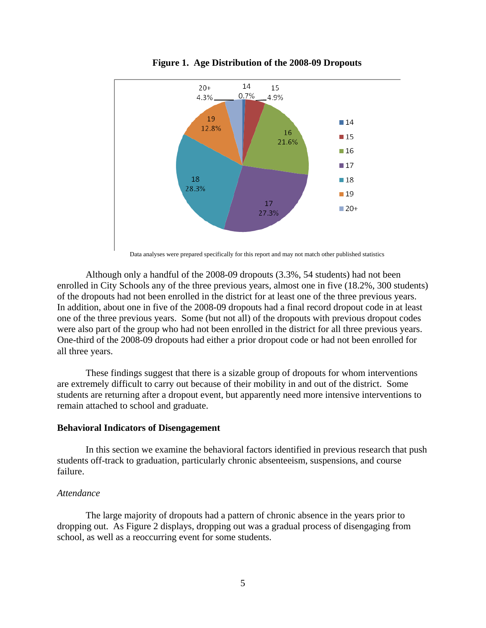

**Figure 1. Age Distribution of the 2008-09 Dropouts** 

Data analyses were prepared specifically for this report and may not match other published statistics

Although only a handful of the 2008-09 dropouts (3.3%, 54 students) had not been enrolled in City Schools any of the three previous years, almost one in five (18.2%, 300 students) of the dropouts had not been enrolled in the district for at least one of the three previous years. In addition, about one in five of the 2008-09 dropouts had a final record dropout code in at least one of the three previous years. Some (but not all) of the dropouts with previous dropout codes were also part of the group who had not been enrolled in the district for all three previous years. One-third of the 2008-09 dropouts had either a prior dropout code or had not been enrolled for all three years.

These findings suggest that there is a sizable group of dropouts for whom interventions are extremely difficult to carry out because of their mobility in and out of the district. Some students are returning after a dropout event, but apparently need more intensive interventions to remain attached to school and graduate.

#### **Behavioral Indicators of Disengagement**

In this section we examine the behavioral factors identified in previous research that push students off-track to graduation, particularly chronic absenteeism, suspensions, and course failure.

#### *Attendance*

The large majority of dropouts had a pattern of chronic absence in the years prior to dropping out. As Figure 2 displays, dropping out was a gradual process of disengaging from school, as well as a reoccurring event for some students.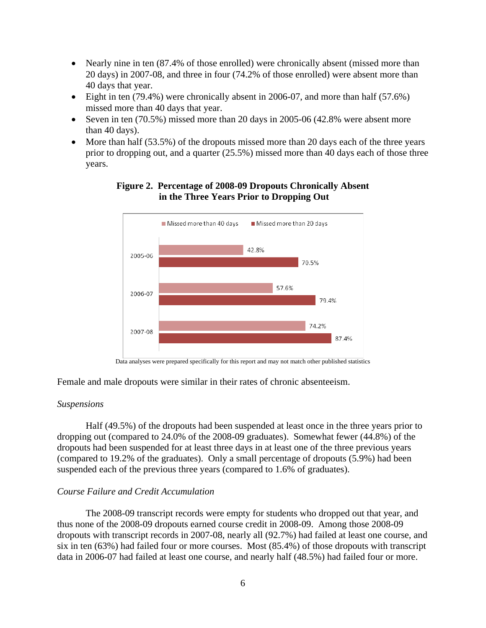- Nearly nine in ten (87.4% of those enrolled) were chronically absent (missed more than 20 days) in 2007-08, and three in four (74.2% of those enrolled) were absent more than 40 days that year.
- Eight in ten  $(79.4\%)$  were chronically absent in 2006-07, and more than half  $(57.6\%)$ missed more than 40 days that year.
- Seven in ten  $(70.5\%)$  missed more than 20 days in 2005-06 (42.8% were absent more than 40 days).
- $\bullet$  More than half (53.5%) of the dropouts missed more than 20 days each of the three years prior to dropping out, and a quarter (25.5%) missed more than 40 days each of those three years.

# Missed more than 40 days Missed more than 20 days 42.8% 2005-06 70.5% 57.6% 2006-07 79.4% 74.2% 2007-08 87.4%

# **Figure 2. Percentage of 2008-09 Dropouts Chronically Absent in the Three Years Prior to Dropping Out**

Data analyses were prepared specifically for this report and may not match other published statistics

Female and male dropouts were similar in their rates of chronic absenteeism.

#### *Suspensions*

Half (49.5%) of the dropouts had been suspended at least once in the three years prior to dropping out (compared to 24.0% of the 2008-09 graduates). Somewhat fewer (44.8%) of the dropouts had been suspended for at least three days in at least one of the three previous years (compared to 19.2% of the graduates). Only a small percentage of dropouts (5.9%) had been suspended each of the previous three years (compared to 1.6% of graduates).

#### *Course Failure and Credit Accumulation*

The 2008-09 transcript records were empty for students who dropped out that year, and thus none of the 2008-09 dropouts earned course credit in 2008-09. Among those 2008-09 dropouts with transcript records in 2007-08, nearly all (92.7%) had failed at least one course, and six in ten (63%) had failed four or more courses. Most (85.4%) of those dropouts with transcript data in 2006-07 had failed at least one course, and nearly half (48.5%) had failed four or more.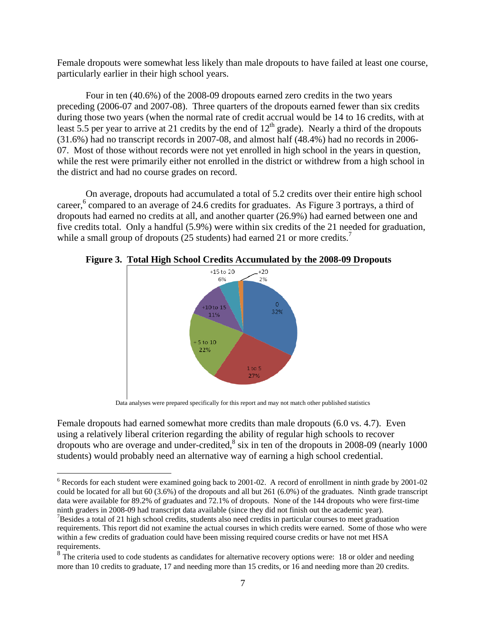Female dropouts were somewhat less likely than male dropouts to have failed at least one course, particularly earlier in their high school years.

Four in ten (40.6%) of the 2008-09 dropouts earned zero credits in the two years preceding (2006-07 and 2007-08). Three quarters of the dropouts earned fewer than six credits during those two years (when the normal rate of credit accrual would be 14 to 16 credits, with at least 5.5 per year to arrive at 21 credits by the end of  $12<sup>th</sup>$  grade). Nearly a third of the dropouts (31.6%) had no transcript records in 2007-08, and almost half (48.4%) had no records in 2006- 07. Most of those without records were not yet enrolled in high school in the years in question, while the rest were primarily either not enrolled in the district or withdrew from a high school in the district and had no course grades on record.

On average, dropouts had accumulated a total of 5.2 credits over their entire high school career,<sup>6</sup> compared to an average of 24.6 credits for graduates. As Figure 3 portrays, a third of dropouts had earned no credits at all, and another quarter (26.9%) had earned between one and five credits total. Only a handful (5.9%) were within six credits of the 21 needed for graduation, while a small group of dropouts (25 students) had earned 21 or more credits.<sup>7</sup>



**Figure 3. Total High School Credits Accumulated by the 2008-09 Dropouts** 

Data analyses were prepared specifically for this report and may not match other published statistics

Female dropouts had earned somewhat more credits than male dropouts (6.0 vs. 4.7). Even using a relatively liberal criterion regarding the ability of regular high schools to recover dropouts who are overage and under-credited, $8$  six in ten of the dropouts in 2008-09 (nearly 1000) students) would probably need an alternative way of earning a high school credential.

 $\overline{a}$ 

 $6$  Records for each student were examined going back to 2001-02. A record of enrollment in ninth grade by 2001-02 could be located for all but 60 (3.6%) of the dropouts and all but 261 (6.0%) of the graduates. Ninth grade transcript data were available for 89.2% of graduates and 72.1% of dropouts. None of the 144 dropouts who were first-time ninth graders in 2008-09 had transcript data available (since they did not finish out the academic year).

 $7$ Besides a total of 21 high school credits, students also need credits in particular courses to meet graduation requirements. This report did not examine the actual courses in which credits were earned. Some of those who were within a few credits of graduation could have been missing required course credits or have not met HSA requirements.

<sup>&</sup>lt;sup>8</sup> The criteria used to code students as candidates for alternative recovery options were: 18 or older and needing more than 10 credits to graduate, 17 and needing more than 15 credits, or 16 and needing more than 20 credits.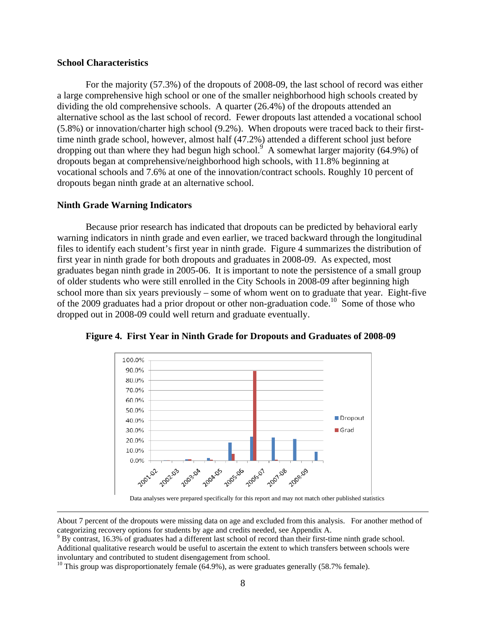#### **School Characteristics**

 For the majority (57.3%) of the dropouts of 2008-09, the last school of record was either a large comprehensive high school or one of the smaller neighborhood high schools created by dividing the old comprehensive schools. A quarter (26.4%) of the dropouts attended an alternative school as the last school of record. Fewer dropouts last attended a vocational school (5.8%) or innovation/charter high school (9.2%). When dropouts were traced back to their firsttime ninth grade school, however, almost half (47.2%) attended a different school just before dropping out than where they had begun high school.<sup>9</sup> A somewhat larger majority (64.9%) of dropouts began at comprehensive/neighborhood high schools, with 11.8% beginning at vocational schools and 7.6% at one of the innovation/contract schools. Roughly 10 percent of dropouts began ninth grade at an alternative school.

#### **Ninth Grade Warning Indicators**

Because prior research has indicated that dropouts can be predicted by behavioral early warning indicators in ninth grade and even earlier, we traced backward through the longitudinal files to identify each student's first year in ninth grade. Figure 4 summarizes the distribution of first year in ninth grade for both dropouts and graduates in 2008-09. As expected, most graduates began ninth grade in 2005-06. It is important to note the persistence of a small group of older students who were still enrolled in the City Schools in 2008-09 after beginning high school more than six years previously – some of whom went on to graduate that year. Eight-five of the 2009 graduates had a prior dropout or other non-graduation code.10 Some of those who dropped out in 2008-09 could well return and graduate eventually.



**Figure 4. First Year in Ninth Grade for Dropouts and Graduates of 2008-09** 

Data analyses were prepared specifically for this report and may not match other published statistics

About 7 percent of the dropouts were missing data on age and excluded from this analysis. For another method of categorizing recovery options for students by age and credits needed, see Appendix A.

<sup>&</sup>lt;sup>9</sup> By contrast, 16.3% of graduates had a different last school of record than their first-time ninth grade school. Additional qualitative research would be useful to ascertain the extent to which transfers between schools were involuntary and contributed to student disengagement from school.

<sup>&</sup>lt;sup>10</sup> This group was disproportionately female  $(64.9\%)$ , as were graduates generally  $(58.7\%$  female).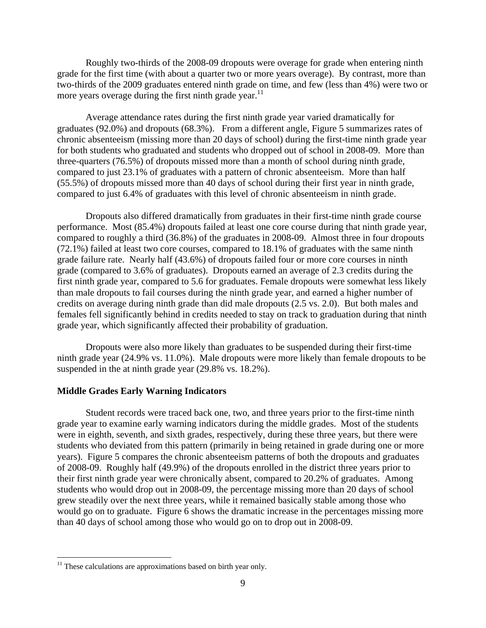Roughly two-thirds of the 2008-09 dropouts were overage for grade when entering ninth grade for the first time (with about a quarter two or more years overage). By contrast, more than two-thirds of the 2009 graduates entered ninth grade on time, and few (less than 4%) were two or more years overage during the first ninth grade year.<sup>11</sup>

Average attendance rates during the first ninth grade year varied dramatically for graduates (92.0%) and dropouts (68.3%). From a different angle, Figure 5 summarizes rates of chronic absenteeism (missing more than 20 days of school) during the first-time ninth grade year for both students who graduated and students who dropped out of school in 2008-09. More than three-quarters (76.5%) of dropouts missed more than a month of school during ninth grade, compared to just 23.1% of graduates with a pattern of chronic absenteeism. More than half (55.5%) of dropouts missed more than 40 days of school during their first year in ninth grade, compared to just 6.4% of graduates with this level of chronic absenteeism in ninth grade.

Dropouts also differed dramatically from graduates in their first-time ninth grade course performance. Most (85.4%) dropouts failed at least one core course during that ninth grade year, compared to roughly a third (36.8%) of the graduates in 2008-09. Almost three in four dropouts (72.1%) failed at least two core courses, compared to 18.1% of graduates with the same ninth grade failure rate. Nearly half (43.6%) of dropouts failed four or more core courses in ninth grade (compared to 3.6% of graduates). Dropouts earned an average of 2.3 credits during the first ninth grade year, compared to 5.6 for graduates. Female dropouts were somewhat less likely than male dropouts to fail courses during the ninth grade year, and earned a higher number of credits on average during ninth grade than did male dropouts (2.5 vs. 2.0). But both males and females fell significantly behind in credits needed to stay on track to graduation during that ninth grade year, which significantly affected their probability of graduation.

Dropouts were also more likely than graduates to be suspended during their first-time ninth grade year (24.9% vs. 11.0%). Male dropouts were more likely than female dropouts to be suspended in the at ninth grade year (29.8% vs. 18.2%).

#### **Middle Grades Early Warning Indicators**

Student records were traced back one, two, and three years prior to the first-time ninth grade year to examine early warning indicators during the middle grades. Most of the students were in eighth, seventh, and sixth grades, respectively, during these three years, but there were students who deviated from this pattern (primarily in being retained in grade during one or more years). Figure 5 compares the chronic absenteeism patterns of both the dropouts and graduates of 2008-09. Roughly half (49.9%) of the dropouts enrolled in the district three years prior to their first ninth grade year were chronically absent, compared to 20.2% of graduates. Among students who would drop out in 2008-09, the percentage missing more than 20 days of school grew steadily over the next three years, while it remained basically stable among those who would go on to graduate. Figure 6 shows the dramatic increase in the percentages missing more than 40 days of school among those who would go on to drop out in 2008-09.

 $\overline{a}$ 

 $11$  These calculations are approximations based on birth year only.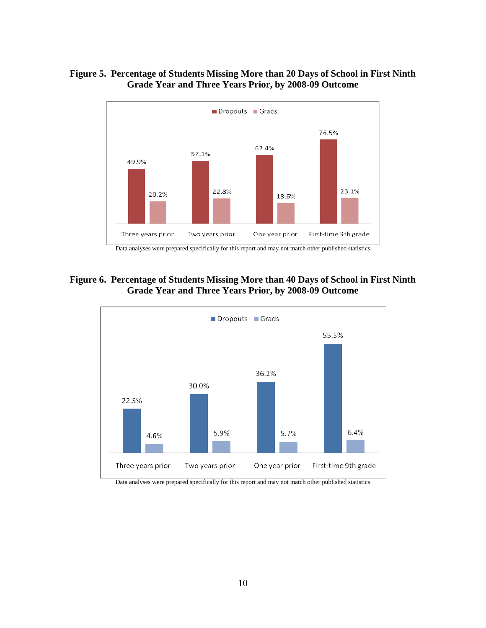# **Figure 5. Percentage of Students Missing More than 20 Days of School in First Ninth Grade Year and Three Years Prior, by 2008-09 Outcome**



# **Figure 6. Percentage of Students Missing More than 40 Days of School in First Ninth Grade Year and Three Years Prior, by 2008-09 Outcome**



Data analyses were prepared specifically for this report and may not match other published statistics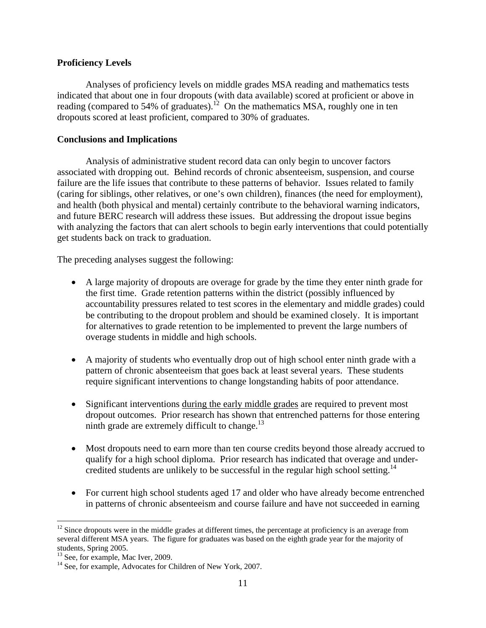# **Proficiency Levels**

Analyses of proficiency levels on middle grades MSA reading and mathematics tests indicated that about one in four dropouts (with data available) scored at proficient or above in reading (compared to 54% of graduates).<sup>12</sup> On the mathematics MSA, roughly one in ten dropouts scored at least proficient, compared to 30% of graduates.

# **Conclusions and Implications**

Analysis of administrative student record data can only begin to uncover factors associated with dropping out. Behind records of chronic absenteeism, suspension, and course failure are the life issues that contribute to these patterns of behavior. Issues related to family (caring for siblings, other relatives, or one's own children), finances (the need for employment), and health (both physical and mental) certainly contribute to the behavioral warning indicators, and future BERC research will address these issues. But addressing the dropout issue begins with analyzing the factors that can alert schools to begin early interventions that could potentially get students back on track to graduation.

The preceding analyses suggest the following:

- A large majority of dropouts are overage for grade by the time they enter ninth grade for the first time. Grade retention patterns within the district (possibly influenced by accountability pressures related to test scores in the elementary and middle grades) could be contributing to the dropout problem and should be examined closely. It is important for alternatives to grade retention to be implemented to prevent the large numbers of overage students in middle and high schools.
- A majority of students who eventually drop out of high school enter ninth grade with a pattern of chronic absenteeism that goes back at least several years. These students require significant interventions to change longstanding habits of poor attendance.
- Significant interventions during the early middle grades are required to prevent most dropout outcomes. Prior research has shown that entrenched patterns for those entering ninth grade are extremely difficult to change. $^{13}$
- Most dropouts need to earn more than ten course credits beyond those already accrued to qualify for a high school diploma. Prior research has indicated that overage and undercredited students are unlikely to be successful in the regular high school setting.<sup>14</sup>
- For current high school students aged 17 and older who have already become entrenched in patterns of chronic absenteeism and course failure and have not succeeded in earning

1

 $12$  Since dropouts were in the middle grades at different times, the percentage at proficiency is an average from several different MSA years. The figure for graduates was based on the eighth grade year for the majority of students, Spring 2005.

 $13$  See, for example, Mac Iver, 2009.

<sup>&</sup>lt;sup>14</sup> See, for example, Advocates for Children of New York, 2007.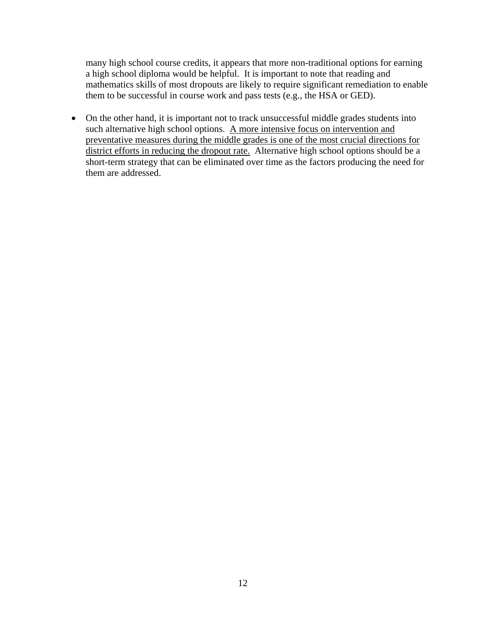many high school course credits, it appears that more non-traditional options for earning a high school diploma would be helpful. It is important to note that reading and mathematics skills of most dropouts are likely to require significant remediation to enable them to be successful in course work and pass tests (e.g., the HSA or GED).

• On the other hand, it is important not to track unsuccessful middle grades students into such alternative high school options. A more intensive focus on intervention and preventative measures during the middle grades is one of the most crucial directions for district efforts in reducing the dropout rate. Alternative high school options should be a short-term strategy that can be eliminated over time as the factors producing the need for them are addressed.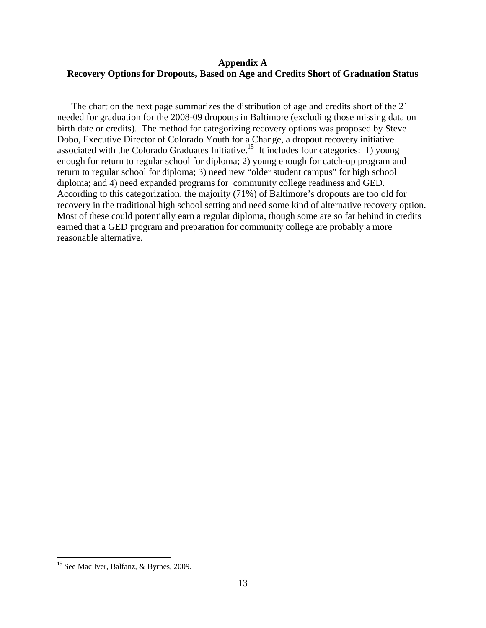### **Appendix A Recovery Options for Dropouts, Based on Age and Credits Short of Graduation Status**

The chart on the next page summarizes the distribution of age and credits short of the 21 needed for graduation for the 2008-09 dropouts in Baltimore (excluding those missing data on birth date or credits). The method for categorizing recovery options was proposed by Steve Dobo, Executive Director of Colorado Youth for a Change, a dropout recovery initiative associated with the Colorado Graduates Initiative.<sup>15</sup> It includes four categories: 1) young enough for return to regular school for diploma; 2) young enough for catch-up program and return to regular school for diploma; 3) need new "older student campus" for high school diploma; and 4) need expanded programs for community college readiness and GED. According to this categorization, the majority (71%) of Baltimore's dropouts are too old for recovery in the traditional high school setting and need some kind of alternative recovery option. Most of these could potentially earn a regular diploma, though some are so far behind in credits earned that a GED program and preparation for community college are probably a more reasonable alternative.

 $\overline{a}$ 

<sup>&</sup>lt;sup>15</sup> See Mac Iver, Balfanz, & Byrnes, 2009.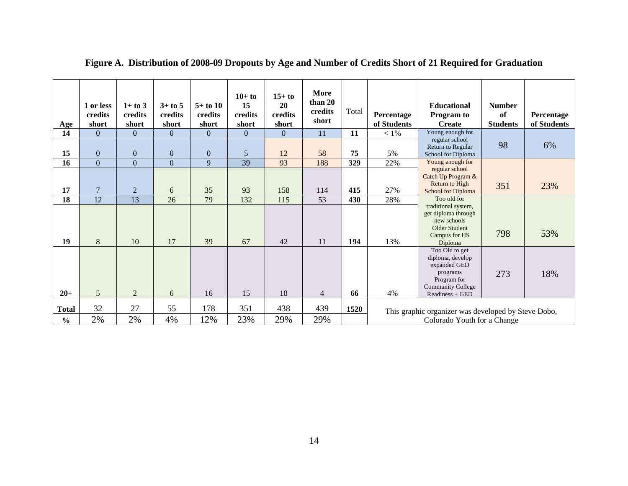| Age                           | 1 or less<br>credits<br>short    | $1+$ to 3<br>credits<br>short | $3+$ to 5<br>credits<br>short    | $5+$ to 10<br>credits<br>short | $10+$ to<br>15<br>credits<br>short | $15+ to$<br>20<br>credits<br>short | More<br>than 20<br>credits<br>short | Total      | Percentage<br>of Students | <b>Educational</b><br><b>Program to</b><br><b>Create</b>                                                                     | <b>Number</b><br>of<br><b>Students</b> | Percentage<br>of Students |
|-------------------------------|----------------------------------|-------------------------------|----------------------------------|--------------------------------|------------------------------------|------------------------------------|-------------------------------------|------------|---------------------------|------------------------------------------------------------------------------------------------------------------------------|----------------------------------------|---------------------------|
| 14<br>15                      | $\Omega$<br>$\overline{0}$       | $\Omega$<br>$\overline{0}$    | $\overline{0}$<br>$\overline{0}$ | $\overline{0}$<br>$\mathbf{0}$ | $\Omega$<br>5                      | $\overline{0}$<br>12               | 11<br>58                            | 11<br>75   | $<1\%$<br>5%              | Young enough for<br>regular school<br>Return to Regular<br>School for Diploma                                                | 98                                     | 6%                        |
| 16<br>17                      | $\overline{0}$<br>$\overline{7}$ | $\Omega$<br>$\overline{2}$    | $\Omega$<br>6                    | 9<br>35                        | 39<br>93                           | 93<br>158                          | 188<br>114                          | 329<br>415 | 22%<br>27%                | Young enough for<br>regular school<br>Catch Up Program &<br>Return to High<br><b>School for Diploma</b>                      | 351                                    | 23%                       |
| 18<br>19                      | 12<br>8                          | $\overline{13}$<br>10         | 26<br>17                         | 79<br>39                       | 132<br>67                          | 115<br>42                          | 53<br>11                            | 430<br>194 | 28%<br>13%                | Too old for<br>traditional system,<br>get diploma through<br>new schools<br>Older Student<br>Campus for HS<br>Diploma        | 798                                    | 53%                       |
| $20+$                         | $5\overline{)}$                  | 2                             | 6                                | 16                             | 15                                 | 18                                 | $\overline{4}$                      | 66         | 4%                        | Too Old to get<br>diploma, develop<br>expanded GED<br>programs<br>Program for<br><b>Community College</b><br>Readiness + GED | 273                                    | 18%                       |
| <b>Total</b><br>$\frac{0}{0}$ | 32<br>2%                         | 27<br>2%                      | 55<br>4%                         | 178<br>12%                     | 351<br>23%                         | 438<br>29%                         | 439<br>29%                          | 1520       |                           | This graphic organizer was developed by Steve Dobo,<br>Colorado Youth for a Change                                           |                                        |                           |

**Figure A. Distribution of 2008-09 Dropouts by Age and Number of Credits Short of 21 Required for Graduation**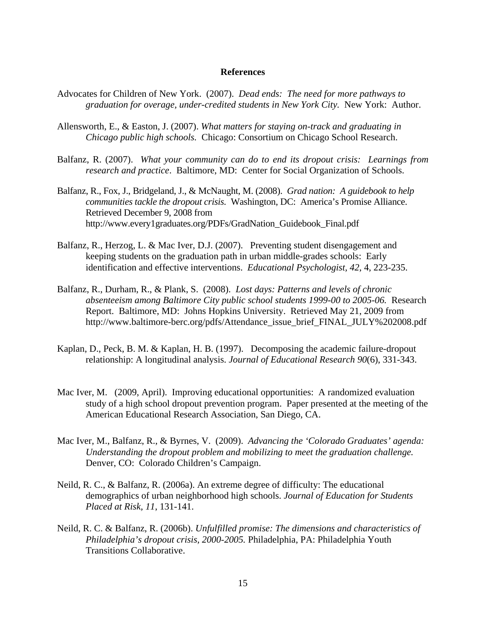#### **References**

- Advocates for Children of New York. (2007). *Dead ends: The need for more pathways to graduation for overage, under-credited students in New York City.* New York: Author.
- Allensworth, E., & Easton, J. (2007). *What matters for staying on-track and graduating in Chicago public high schools.* Chicago: Consortium on Chicago School Research.
- Balfanz, R. (2007). *What your community can do to end its dropout crisis: Learnings from research and practice*. Baltimore, MD: Center for Social Organization of Schools.
- Balfanz, R., Fox, J., Bridgeland, J., & McNaught, M. (2008). *Grad nation: A guidebook to help communities tackle the dropout crisis.* Washington, DC: America's Promise Alliance. Retrieved December 9, 2008 from http://www.every1graduates.org/PDFs/GradNation\_Guidebook\_Final.pdf
- Balfanz, R., Herzog, L. & Mac Iver, D.J. (2007). Preventing student disengagement and keeping students on the graduation path in urban middle-grades schools: Early identification and effective interventions. *Educational Psychologist, 42*, 4, 223-235.
- Balfanz, R., Durham, R., & Plank, S. (2008). *Lost days: Patterns and levels of chronic absenteeism among Baltimore City public school students 1999-00 to 2005-06.* Research Report. Baltimore, MD: Johns Hopkins University. Retrieved May 21, 2009 from http://www.baltimore-berc.org/pdfs/Attendance\_issue\_brief\_FINAL\_JULY%202008.pdf
- Kaplan, D., Peck, B. M. & Kaplan, H. B. (1997). Decomposing the academic failure-dropout relationship: A longitudinal analysis. *Journal of Educational Research 90*(6), 331-343.
- Mac Iver, M. (2009, April). Improving educational opportunities: A randomized evaluation study of a high school dropout prevention program. Paper presented at the meeting of the American Educational Research Association, San Diego, CA.
- Mac Iver, M., Balfanz, R., & Byrnes, V. (2009). *Advancing the 'Colorado Graduates' agenda: Understanding the dropout problem and mobilizing to meet the graduation challenge.* Denver, CO: Colorado Children's Campaign.
- Neild, R. C., & Balfanz, R. (2006a). An extreme degree of difficulty: The educational demographics of urban neighborhood high schools. *Journal of Education for Students Placed at Risk, 11*, 131-141.
- Neild, R. C. & Balfanz, R. (2006b). *Unfulfilled promise: The dimensions and characteristics of Philadelphia's dropout crisis, 2000-2005.* Philadelphia, PA: Philadelphia Youth Transitions Collaborative.